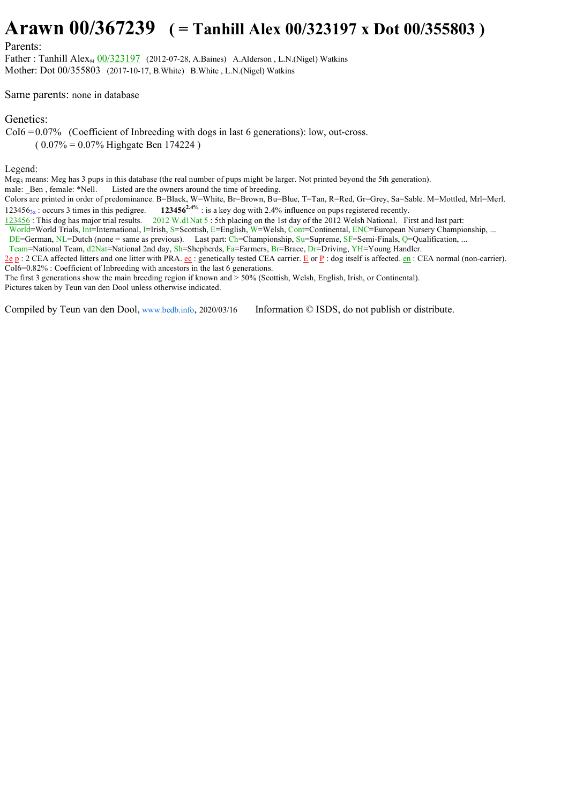## **Arawn 00/367239 ( = Tanhill Alex 00/323197 x Dot 00/355803 )**

## Parents:

Father : Tanhill Alex<sub>94</sub> 00/323197 (2012-07-28, A.Baines) A.Alderson, L.N.(Nigel) Watkins Mother: Dot 00/355803 (2017-10-17, B.White) B.White , L.N.(Nigel) Watkins

Same parents: none in database

## Genetics:

 $CoI6 = 0.07\%$  (Coefficient of Inbreeding with dogs in last 6 generations): low, out-cross.  $(0.07\% = 0.07\%$  Highgate Ben 174224)

## Legend:

Meg3 means: Meg has 3 pups in this database (the real number of pups might be larger. Not printed beyond the 5th generation). male: Ben, female: \*Nell. Listed are the owners around the time of breeding.

Colors are printed in order of predominance. B=Black, W=White, Br=Brown, Bu=Blue, T=Tan, R=Red, Gr=Grey, Sa=Sable. M=Mottled, Mrl=Merl. 123456<sub>3x</sub>: occurs 3 times in this pedigree. **123456<sup>2.4%</sup>** : is a key dog with 2.4% influence on pups registered recently.

123456 : This dog has major trial results. 2012 W.d1Nat 5 : 5th placing on the 1st day of the 2012 Welsh National. First and last part:

World=World Trials, Int=International, I=Irish, S=Scottish, E=English, W=Welsh, Cont=Continental, ENC=European Nursery Championship, ...

DE=German, NL=Dutch (none = same as previous). Last part: Ch=Championship, Su=Supreme, SF=Semi-Finals, Q=Qualification, ...

Team=National Team, d2Nat=National 2nd day, Sh=Shepherds, Fa=Farmers, Br=Brace, Dr=Driving, YH=Young Handler.

 $2e p$ : 2 CEA affected litters and one litter with PRA.  $ec$ : genetically tested CEA carrier. E or P: dog itself is affected.  $en$ : CEA normal (non-carrier). CoI6=0.82% : Coefficient of Inbreeding with ancestors in the last 6 generations.

The first 3 generations show the main breeding region if known and > 50% (Scottish, Welsh, English, Irish, or Continental).

Pictures taken by Teun van den Dool unless otherwise indicated.

Compiled by Teun van den Dool, www.bcdb.info, 2020/03/16 Information © ISDS, do not publish or distribute.